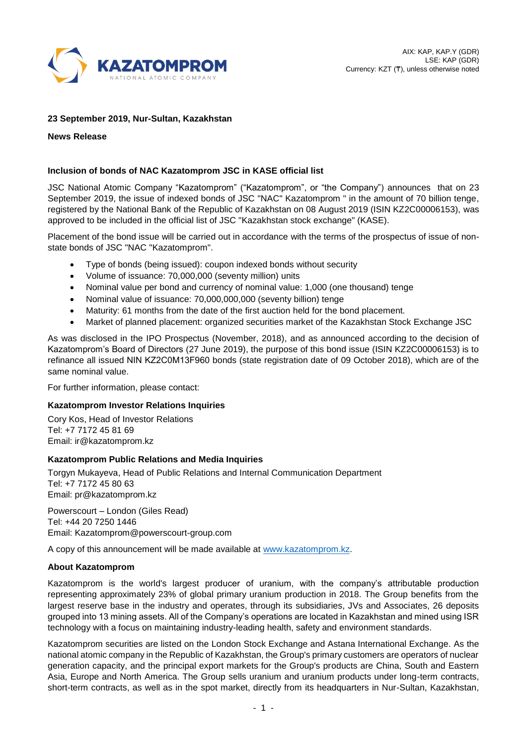

# **23 September 2019, Nur-Sultan, Kazakhstan**

**News Release**

# **Inclusion of bonds of NAC Kazatomprom JSC in KASE official list**

JSC National Atomic Company "Kazatomprom" ("Kazatomprom", or "the Company") announces that on 23 September 2019, the issue of indexed bonds of JSC "NAC" Kazatomprom " in the amount of 70 billion tenge, registered by the National Bank of the Republic of Kazakhstan on 08 August 2019 (ISIN KZ2C00006153), was approved to be included in the official list of JSC "Kazakhstan stock exchange" (KASE).

Placement of the bond issue will be carried out in accordance with the terms of the prospectus of issue of nonstate bonds of JSC "NAC "Kazatomprom".

- Type of bonds (being issued): coupon indexed bonds without security
- Volume of issuance: 70,000,000 (seventy million) units
- Nominal value per bond and currency of nominal value: 1,000 (one thousand) tenge
- Nominal value of issuance: 70,000,000,000 (seventy billion) tenge
- Maturity: 61 months from the date of the first auction held for the bond placement.
- Market of planned placement: organized securities market of the Kazakhstan Stock Exchange JSC

As was disclosed in the IPO Prospectus (November, 2018), and as announced according to the decision of Kazatomprom's Board of Directors (27 June 2019), the purpose of this bond issue (ISIN KZ2C00006153) is to refinance all issued NIN KZ2C0М13F960 bonds (state registration date of 09 October 2018), which are of the same nominal value.

For further information, please contact:

## **Kazatomprom Investor Relations Inquiries**

Cory Kos, Head of Investor Relations Tel: +7 7172 45 81 69 Email: ir@kazatomprom.kz

## **Kazatomprom Public Relations and Media Inquiries**

Torgyn Mukayeva, Head of Public Relations and Internal Communication Department Tel: +7 7172 45 80 63 Email: [pr@kazatomprom.kz](mailto:pr@kazatomprom.kz)

Powerscourt – London (Giles Read) Tel: +44 20 7250 1446 Email: Kazatomprom@powerscourt-group.com

A copy of this announcement will be made available at [www.kazatomprom.kz.](http://www.kazatomprom.kz/)

## **About Kazatomprom**

Kazatomprom is the world's largest producer of uranium, with the company's attributable production representing approximately 23% of global primary uranium production in 2018. The Group benefits from the largest reserve base in the industry and operates, through its subsidiaries, JVs and Associates, 26 deposits grouped into 13 mining assets. All of the Company's operations are located in Kazakhstan and mined using ISR technology with a focus on maintaining industry-leading health, safety and environment standards.

Kazatomprom securities are listed on the London Stock Exchange and Astana International Exchange. As the national atomic company in the Republic of Kazakhstan, the Group's primary customers are operators of nuclear generation capacity, and the principal export markets for the Group's products are China, South and Eastern Asia, Europe and North America. The Group sells uranium and uranium products under long-term contracts, short-term contracts, as well as in the spot market, directly from its headquarters in Nur-Sultan, Kazakhstan,